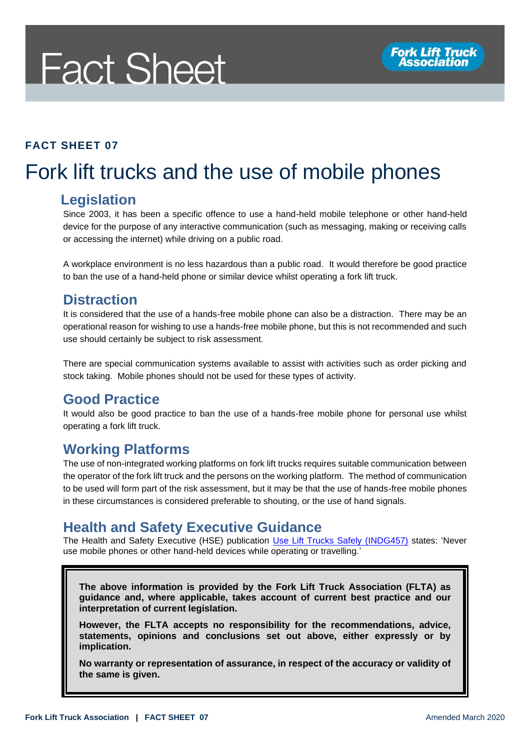# **Fact Sheet**

#### **FACT SHEET 07**

# Fork lift trucks and the use of mobile phones

#### **Legislation**

Since 2003, it has been a specific offence to use a hand-held mobile telephone or other hand-held device for the purpose of any interactive communication (such as messaging, making or receiving calls or accessing the internet) while driving on a public road.

A workplace environment is no less hazardous than a public road. It would therefore be good practice to ban the use of a hand-held phone or similar device whilst operating a fork lift truck.

#### **Distraction**

It is considered that the use of a hands-free mobile phone can also be a distraction. There may be an operational reason for wishing to use a hands-free mobile phone, but this is not recommended and such use should certainly be subject to risk assessment.

There are special communication systems available to assist with activities such as order picking and stock taking. Mobile phones should not be used for these types of activity.

## **Good Practice**

It would also be good practice to ban the use of a hands-free mobile phone for personal use whilst operating a fork lift truck.

## **Working Platforms**

The use of non-integrated working platforms on fork lift trucks requires suitable communication between the operator of the fork lift truck and the persons on the working platform. The method of communication to be used will form part of the risk assessment, but it may be that the use of hands-free mobile phones in these circumstances is considered preferable to shouting, or the use of hand signals.

## **Health and Safety Executive Guidance**

The Health and Safety Executive (HSE) publication [Use Lift Trucks Safely \(INDG457\)](https://www.hse.gov.uk/pubns/indg457.pdf) states: 'Never use mobile phones or other hand-held devices while operating or travelling.'

**The above information is provided by the Fork Lift Truck Association (FLTA) as guidance and, where applicable, takes account of current best practice and our interpretation of current legislation.** 

**However, the FLTA accepts no responsibility for the recommendations, advice, statements, opinions and conclusions set out above, either expressly or by implication.**

**No warranty or representation of assurance, in respect of the accuracy or validity of the same is given.**